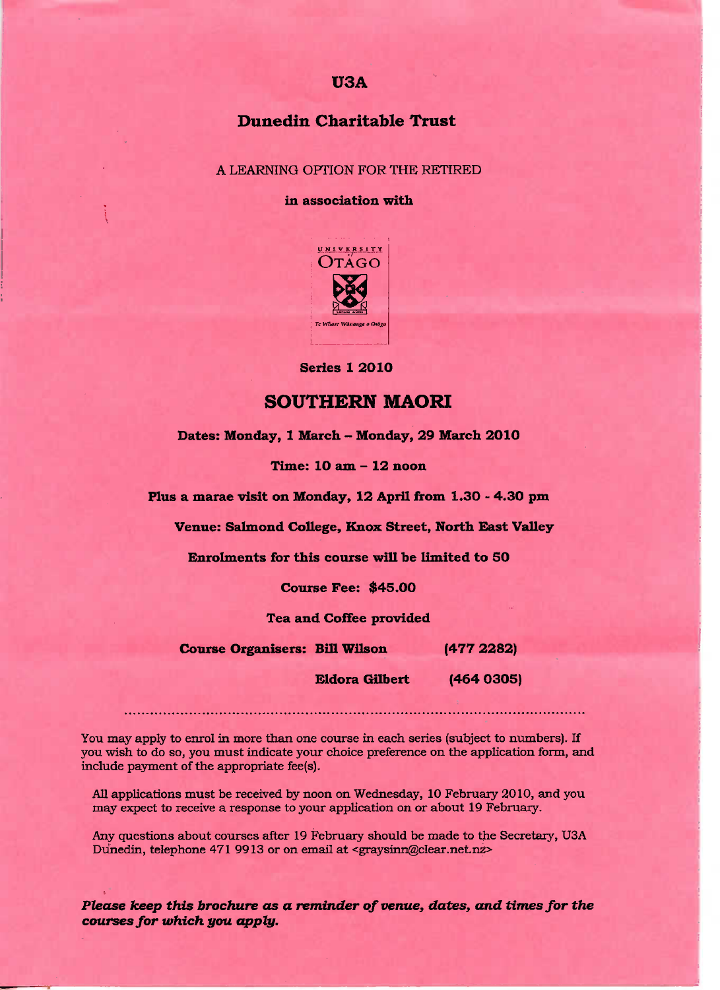# U3A

# Dunedin **Charitable Trust**

A LEARNING OPTION FOR THE RETIRED

**in association with**



**Series 1 2010**

## **SOUTHERN MAORI**

**Dates: Monday, 1 March - Monday, 29 March 2010**

**Time: 10 am - 12 noon**

**Plus a marae visit on Monday, 12 April from 1.30 - 4.30 pm**

**Venue: Salmond College, Knox Street, North East Valley**

**Enrolments for this course will be limited to 50**

**Course Fee: \$45.00**

**Tea and Coffee provided**

**Course Organisers: Bill Wilson (477 2282)**

**Eldora Gilbert (464 0305)**

You may apply to enrol in more than one course in each series {subject to numbers). If you wish to do so, you must indicate your choice preference on the application form, and include payment of the appropriate fee(s).

All applications must be received by noon on Wednesday, 10 February 2010, and you may expect to receive a response to your application on or about 19 February.

Any questions about courses after 19 February should be made to the Secretary, USA Dunedin, telephone 471 9913 or on email at <graysinn@clear.net.nz>

*Please keep this brochure* **as a** *reminder of venue,* **dates, and** *times for the courses for which you apply.*